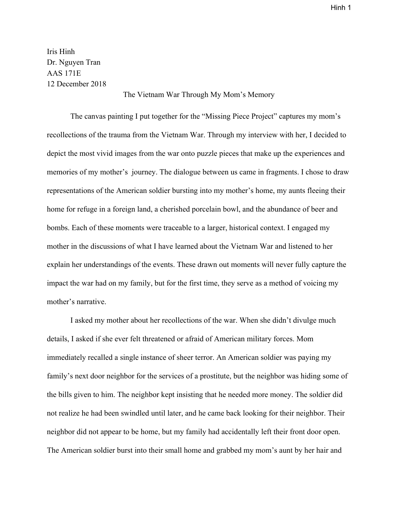Iris Hinh Dr. Nguyen Tran AAS 171E 12 December 2018

## The Vietnam War Through My Mom's Memory

The canvas painting I put together for the "Missing Piece Project" captures my mom's recollections of the trauma from the Vietnam War. Through my interview with her, I decided to depict the most vivid images from the war onto puzzle pieces that make up the experiences and memories of my mother's journey. The dialogue between us came in fragments. I chose to draw representations of the American soldier bursting into my mother's home, my aunts fleeing their home for refuge in a foreign land, a cherished porcelain bowl, and the abundance of beer and bombs. Each of these moments were traceable to a larger, historical context. I engaged my mother in the discussions of what I have learned about the Vietnam War and listened to her explain her understandings of the events. These drawn out moments will never fully capture the impact the war had on my family, but for the first time, they serve as a method of voicing my mother's narrative.

I asked my mother about her recollections of the war. When she didn't divulge much details, I asked if she ever felt threatened or afraid of American military forces. Mom immediately recalled a single instance of sheer terror. An American soldier was paying my family's next door neighbor for the services of a prostitute, but the neighbor was hiding some of the bills given to him. The neighbor kept insisting that he needed more money. The soldier did not realize he had been swindled until later, and he came back looking for their neighbor. Their neighbor did not appear to be home, but my family had accidentally left their front door open. The American soldier burst into their small home and grabbed my mom's aunt by her hair and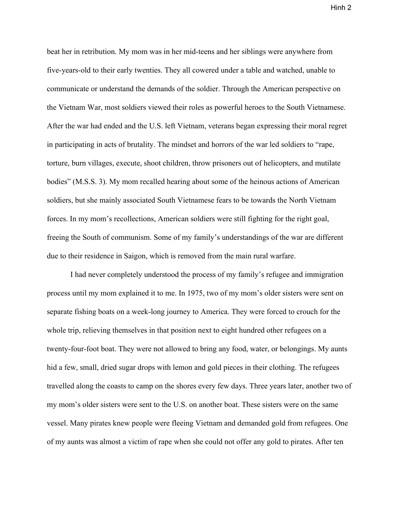beat her in retribution. My mom was in her mid-teens and her siblings were anywhere from five-years-old to their early twenties. They all cowered under a table and watched, unable to communicate or understand the demands of the soldier. Through the American perspective on the Vietnam War, most soldiers viewed their roles as powerful heroes to the South Vietnamese. After the war had ended and the U.S. left Vietnam, veterans began expressing their moral regret in participating in acts of brutality. The mindset and horrors of the war led soldiers to "rape, torture, burn villages, execute, shoot children, throw prisoners out of helicopters, and mutilate bodies" (M.S.S. 3). My mom recalled hearing about some of the heinous actions of American soldiers, but she mainly associated South Vietnamese fears to be towards the North Vietnam forces. In my mom's recollections, American soldiers were still fighting for the right goal, freeing the South of communism. Some of my family's understandings of the war are different due to their residence in Saigon, which is removed from the main rural warfare.

I had never completely understood the process of my family's refugee and immigration process until my mom explained it to me. In 1975, two of my mom's older sisters were sent on separate fishing boats on a week-long journey to America. They were forced to crouch for the whole trip, relieving themselves in that position next to eight hundred other refugees on a twenty-four-foot boat. They were not allowed to bring any food, water, or belongings. My aunts hid a few, small, dried sugar drops with lemon and gold pieces in their clothing. The refugees travelled along the coasts to camp on the shores every few days. Three years later, another two of my mom's older sisters were sent to the U.S. on another boat. These sisters were on the same vessel. Many pirates knew people were fleeing Vietnam and demanded gold from refugees. One of my aunts was almost a victim of rape when she could not offer any gold to pirates. After ten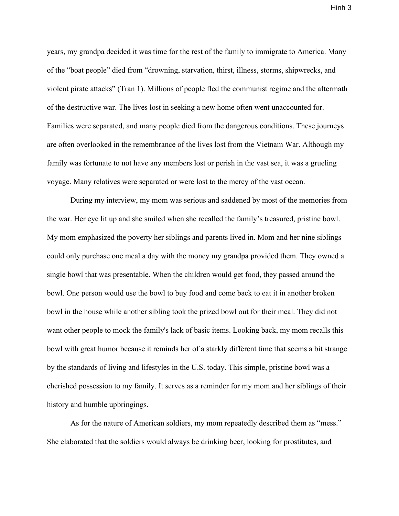years, my grandpa decided it was time for the rest of the family to immigrate to America. Many of the "boat people" died from "drowning, starvation, thirst, illness, storms, shipwrecks, and violent pirate attacks" (Tran 1). Millions of people fled the communist regime and the aftermath of the destructive war. The lives lost in seeking a new home often went unaccounted for. Families were separated, and many people died from the dangerous conditions. These journeys are often overlooked in the remembrance of the lives lost from the Vietnam War. Although my family was fortunate to not have any members lost or perish in the vast sea, it was a grueling voyage. Many relatives were separated or were lost to the mercy of the vast ocean.

During my interview, my mom was serious and saddened by most of the memories from the war. Her eye lit up and she smiled when she recalled the family's treasured, pristine bowl. My mom emphasized the poverty her siblings and parents lived in. Mom and her nine siblings could only purchase one meal a day with the money my grandpa provided them. They owned a single bowl that was presentable. When the children would get food, they passed around the bowl. One person would use the bowl to buy food and come back to eat it in another broken bowl in the house while another sibling took the prized bowl out for their meal. They did not want other people to mock the family's lack of basic items. Looking back, my mom recalls this bowl with great humor because it reminds her of a starkly different time that seems a bit strange by the standards of living and lifestyles in the U.S. today. This simple, pristine bowl was a cherished possession to my family. It serves as a reminder for my mom and her siblings of their history and humble upbringings.

As for the nature of American soldiers, my mom repeatedly described them as "mess." She elaborated that the soldiers would always be drinking beer, looking for prostitutes, and

Hinh 3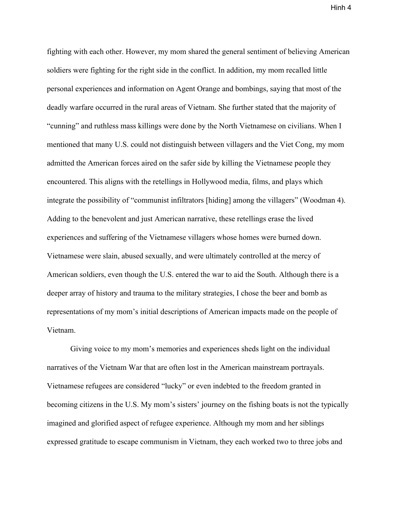fighting with each other. However, my mom shared the general sentiment of believing American soldiers were fighting for the right side in the conflict. In addition, my mom recalled little personal experiences and information on Agent Orange and bombings, saying that most of the deadly warfare occurred in the rural areas of Vietnam. She further stated that the majority of "cunning" and ruthless mass killings were done by the North Vietnamese on civilians. When I mentioned that many U.S. could not distinguish between villagers and the Viet Cong, my mom admitted the American forces aired on the safer side by killing the Vietnamese people they encountered. This aligns with the retellings in Hollywood media, films, and plays which integrate the possibility of "communist infiltrators [hiding] among the villagers" (Woodman 4). Adding to the benevolent and just American narrative, these retellings erase the lived experiences and suffering of the Vietnamese villagers whose homes were burned down. Vietnamese were slain, abused sexually, and were ultimately controlled at the mercy of American soldiers, even though the U.S. entered the war to aid the South. Although there is a deeper array of history and trauma to the military strategies, I chose the beer and bomb as representations of my mom's initial descriptions of American impacts made on the people of Vietnam.

Giving voice to my mom's memories and experiences sheds light on the individual narratives of the Vietnam War that are often lost in the American mainstream portrayals. Vietnamese refugees are considered "lucky" or even indebted to the freedom granted in becoming citizens in the U.S. My mom's sisters' journey on the fishing boats is not the typically imagined and glorified aspect of refugee experience. Although my mom and her siblings expressed gratitude to escape communism in Vietnam, they each worked two to three jobs and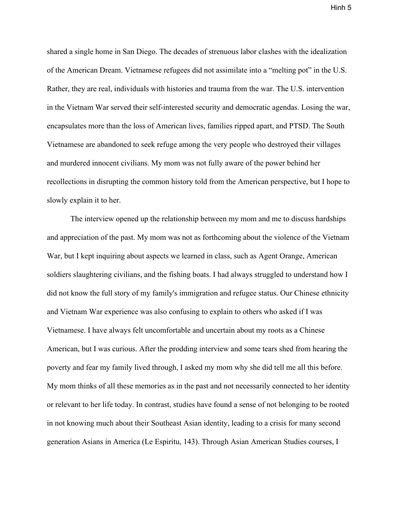shared a single home in San Diego. The decades of strenuous labor clashes with the idealization of the American Dream. Vietnamese refugees did not assimilate into a "melting pot" in the U.S. Rather, they are real, individuals with histories and trauma from the war. The U.S. intervention in the Vietnam War served their self-interested security and democratic agendas. Losing the war, encapsulates more than the loss of American lives, families ripped apart, and PTSD. The South Vietnamese are abandoned to seek refuge among the very people who destroyed their villages and murdered innocent civilians. My mom was not fully aware of the power behind her recollections in disrupting the common history told from the American perspective, but I hope to slowly explain it to her.

The interview opened up the relationship between my mom and me to discuss hardships and appreciation of the past. My mom was not as forthcoming about the violence of the Vietnam War, but I kept inquiring about aspects we learned in class, such as Agent Orange, American soldiers slaughtering civilians, and the fishing boats. I had always struggled to understand how I did not know the full story of my family's immigration and refugee status. Our Chinese ethnicity and Vietnam War experience was also confusing to explain to others who asked if I was Vietnamese. I have always felt uncomfortable and uncertain about my roots as a Chinese American, but I was curious. After the prodding interview and some tears shed from hearing the poverty and fear my family lived through, I asked my mom why she did tell me all this before. My mom thinks of all these memories as in the past and not necessarily connected to her identity or relevant to her life today. In contrast, studies have found a sense of not belonging to be rooted in not knowing much about their Southeast Asian identity, leading to a crisis for many second generation Asians in America (Le Espiritu, 143). Through Asian American Studies courses, I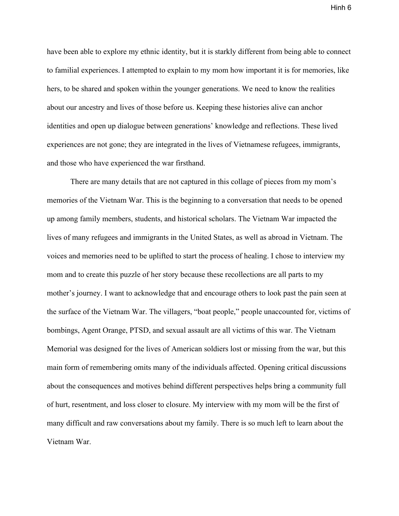have been able to explore my ethnic identity, but it is starkly different from being able to connect to familial experiences. I attempted to explain to my mom how important it is for memories, like hers, to be shared and spoken within the younger generations. We need to know the realities about our ancestry and lives of those before us. Keeping these histories alive can anchor identities and open up dialogue between generations' knowledge and reflections. These lived experiences are not gone; they are integrated in the lives of Vietnamese refugees, immigrants, and those who have experienced the war firsthand.

There are many details that are not captured in this collage of pieces from my mom's memories of the Vietnam War. This is the beginning to a conversation that needs to be opened up among family members, students, and historical scholars. The Vietnam War impacted the lives of many refugees and immigrants in the United States, as well as abroad in Vietnam. The voices and memories need to be uplifted to start the process of healing. I chose to interview my mom and to create this puzzle of her story because these recollections are all parts to my mother's journey. I want to acknowledge that and encourage others to look past the pain seen at the surface of the Vietnam War. The villagers, "boat people," people unaccounted for, victims of bombings, Agent Orange, PTSD, and sexual assault are all victims of this war. The Vietnam Memorial was designed for the lives of American soldiers lost or missing from the war, but this main form of remembering omits many of the individuals affected. Opening critical discussions about the consequences and motives behind different perspectives helps bring a community full of hurt, resentment, and loss closer to closure. My interview with my mom will be the first of many difficult and raw conversations about my family. There is so much left to learn about the Vietnam War.